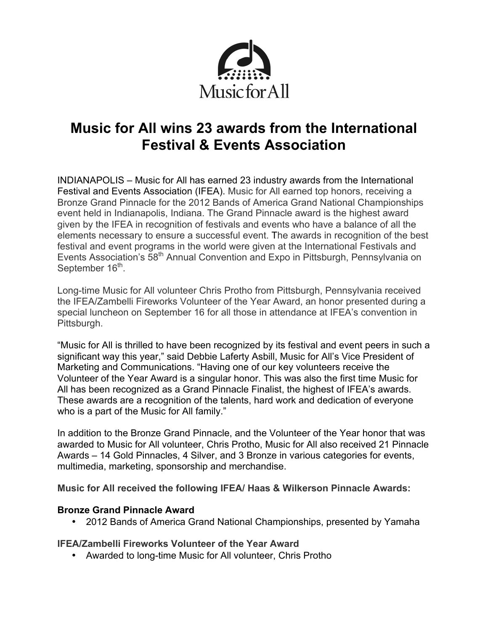

# **Music for All wins 23 awards from the International Festival & Events Association**

INDIANAPOLIS – Music for All has earned 23 industry awards from the International Festival and Events Association (IFEA). Music for All earned top honors, receiving a Bronze Grand Pinnacle for the 2012 Bands of America Grand National Championships event held in Indianapolis, Indiana. The Grand Pinnacle award is the highest award given by the IFEA in recognition of festivals and events who have a balance of all the elements necessary to ensure a successful event. The awards in recognition of the best festival and event programs in the world were given at the International Festivals and Events Association's 58<sup>th</sup> Annual Convention and Expo in Pittsburgh, Pennsylvania on September 16<sup>th</sup>.

Long-time Music for All volunteer Chris Protho from Pittsburgh, Pennsylvania received the IFEA/Zambelli Fireworks Volunteer of the Year Award, an honor presented during a special luncheon on September 16 for all those in attendance at IFEA's convention in Pittsburgh.

"Music for All is thrilled to have been recognized by its festival and event peers in such a significant way this year," said Debbie Laferty Asbill, Music for All's Vice President of Marketing and Communications. "Having one of our key volunteers receive the Volunteer of the Year Award is a singular honor. This was also the first time Music for All has been recognized as a Grand Pinnacle Finalist, the highest of IFEA's awards. These awards are a recognition of the talents, hard work and dedication of everyone who is a part of the Music for All family."

In addition to the Bronze Grand Pinnacle, and the Volunteer of the Year honor that was awarded to Music for All volunteer, Chris Protho, Music for All also received 21 Pinnacle Awards – 14 Gold Pinnacles, 4 Silver, and 3 Bronze in various categories for events, multimedia, marketing, sponsorship and merchandise.

**Music for All received the following IFEA/ Haas & Wilkerson Pinnacle Awards:** 

# **Bronze Grand Pinnacle Award**

• 2012 Bands of America Grand National Championships, presented by Yamaha

## **IFEA/Zambelli Fireworks Volunteer of the Year Award**

• Awarded to long-time Music for All volunteer, Chris Protho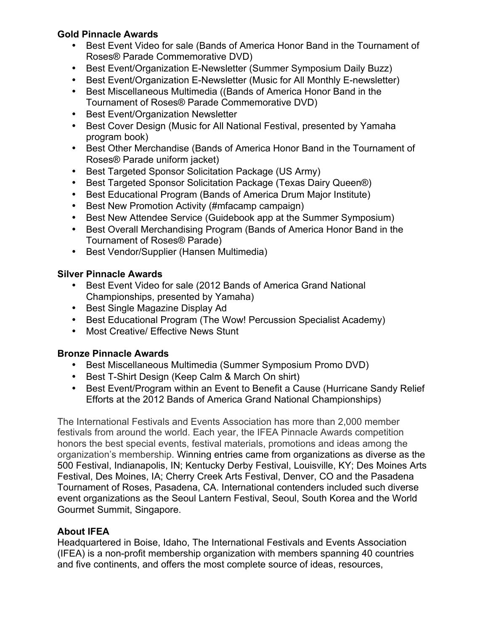# **Gold Pinnacle Awards**

- Best Event Video for sale (Bands of America Honor Band in the Tournament of Roses® Parade Commemorative DVD)
- Best Event/Organization E-Newsletter (Summer Symposium Daily Buzz)
- Best Event/Organization E-Newsletter (Music for All Monthly E-newsletter)
- Best Miscellaneous Multimedia ((Bands of America Honor Band in the Tournament of Roses® Parade Commemorative DVD)
- Best Event/Organization Newsletter
- Best Cover Design (Music for All National Festival, presented by Yamaha program book)
- Best Other Merchandise (Bands of America Honor Band in the Tournament of Roses® Parade uniform jacket)
- Best Targeted Sponsor Solicitation Package (US Army)
- Best Targeted Sponsor Solicitation Package (Texas Dairy Queen®)
- Best Educational Program (Bands of America Drum Major Institute)
- Best New Promotion Activity (#mfacamp campaign)
- Best New Attendee Service (Guidebook app at the Summer Symposium)
- Best Overall Merchandising Program (Bands of America Honor Band in the Tournament of Roses® Parade)
- Best Vendor/Supplier (Hansen Multimedia)

# **Silver Pinnacle Awards**

- Best Event Video for sale (2012 Bands of America Grand National Championships, presented by Yamaha)
- Best Single Magazine Display Ad
- Best Educational Program (The Wow! Percussion Specialist Academy)
- Most Creative/ Effective News Stunt

# **Bronze Pinnacle Awards**

- Best Miscellaneous Multimedia (Summer Symposium Promo DVD)
- Best T-Shirt Design (Keep Calm & March On shirt)
- Best Event/Program within an Event to Benefit a Cause (Hurricane Sandy Relief Efforts at the 2012 Bands of America Grand National Championships)

The International Festivals and Events Association has more than 2,000 member festivals from around the world. Each year, the IFEA Pinnacle Awards competition honors the best special events, festival materials, promotions and ideas among the organization's membership. Winning entries came from organizations as diverse as the 500 Festival, Indianapolis, IN; Kentucky Derby Festival, Louisville, KY; Des Moines Arts Festival, Des Moines, IA; Cherry Creek Arts Festival, Denver, CO and the Pasadena Tournament of Roses, Pasadena, CA. International contenders included such diverse event organizations as the Seoul Lantern Festival, Seoul, South Korea and the World Gourmet Summit, Singapore.

# **About IFEA**

Headquartered in Boise, Idaho, The International Festivals and Events Association (IFEA) is a non-profit membership organization with members spanning 40 countries and five continents, and offers the most complete source of ideas, resources,